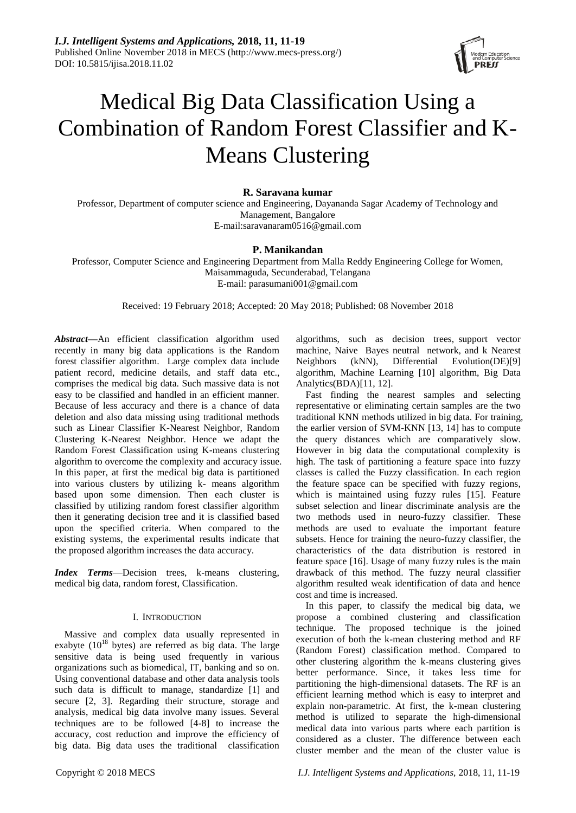

# Medical Big Data Classification Using a Combination of Random Forest Classifier and K-Means Clustering

# **R. Saravana kumar**

Professor, Department of computer science and Engineering, Dayananda Sagar Academy of Technology and Management, Bangalore E-mail:saravanaram0516@gmail.com

# **P. Manikandan**

Professor, Computer Science and Engineering Department from Malla Reddy Engineering College for Women, Maisammaguda, Secunderabad, Telangana E-mail: parasumani001@gmail.com

Received: 19 February 2018; Accepted: 20 May 2018; Published: 08 November 2018

*Abstract***—**An efficient classification algorithm used recently in many big data applications is the Random forest classifier algorithm. Large complex data include patient record, medicine details, and staff data etc., comprises the medical big data. Such massive data is not easy to be classified and handled in an efficient manner. Because of less accuracy and there is a chance of data deletion and also data missing using traditional methods such as Linear Classifier K-Nearest Neighbor, Random Clustering K-Nearest Neighbor. Hence we adapt the Random Forest Classification using K-means clustering algorithm to overcome the complexity and accuracy issue. In this paper, at first the medical big data is partitioned into various clusters by utilizing k- means algorithm based upon some dimension. Then each cluster is classified by utilizing random forest classifier algorithm then it generating decision tree and it is classified based upon the specified criteria. When compared to the existing systems, the experimental results indicate that the proposed algorithm increases the data accuracy.

*Index Terms*—Decision trees, k-means clustering, medical big data, random forest, Classification.

## I. INTRODUCTION

Massive and complex data usually represented in exabyte  $(10^{18}$  bytes) are referred as big data. The large sensitive data is being used frequently in various organizations such as biomedical, IT, banking and so on. Using conventional database and other data analysis tools such data is difficult to manage, standardize [1] and secure [2, 3]. Regarding their structure, storage and analysis, medical big data involve many issues. Several techniques are to be followed [4-8] to increase the accuracy, cost reduction and improve the efficiency of big data. Big data uses the traditional classification algorithms, such as decision trees, support vector machine, Naive Bayes neutral network, and k Nearest Neighbors (kNN), Differential Evolution(DE)[9] algorithm, Machine Learning [10] algorithm, Big Data Analytics(BDA)[11, 12].

Fast finding the nearest samples and selecting representative or eliminating certain samples are the two traditional KNN methods utilized in big data. For training, the earlier version of SVM-KNN [13, 14] has to compute the query distances which are comparatively slow. However in big data the computational complexity is high. The task of partitioning a feature space into fuzzy classes is called the Fuzzy classification. In each region the feature space can be specified with fuzzy regions, which is maintained using fuzzy rules [15]. Feature subset selection and linear discriminate analysis are the two methods used in neuro-fuzzy classifier. These methods are used to evaluate the important feature subsets. Hence for training the neuro-fuzzy classifier, the characteristics of the data distribution is restored in feature space [16]. Usage of many fuzzy rules is the main drawback of this method. The fuzzy neural classifier algorithm resulted weak identification of data and hence cost and time is increased.

In this paper, to classify the medical big data, we propose a combined clustering and classification technique. The proposed technique is the joined execution of both the k-mean clustering method and RF (Random Forest) classification method. Compared to other clustering algorithm the k-means clustering gives better performance. Since, it takes less time for partitioning the high-dimensional datasets. The RF is an efficient learning method which is easy to interpret and explain non-parametric. At first, the k-mean clustering method is utilized to separate the high-dimensional medical data into various parts where each partition is considered as a cluster. The difference between each cluster member and the mean of the cluster value is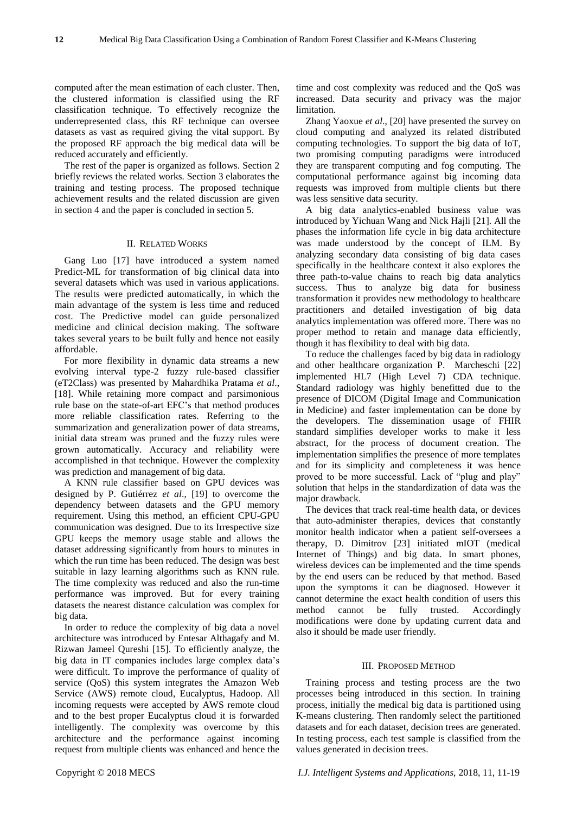computed after the mean estimation of each cluster. Then, the clustered information is classified using the RF classification technique. To effectively recognize the underrepresented class, this RF technique can oversee datasets as vast as required giving the vital support. By the proposed RF approach the big medical data will be reduced accurately and efficiently.

The rest of the paper is organized as follows. Section 2 briefly reviews the related works. Section 3 elaborates the training and testing process. The proposed technique achievement results and the related discussion are given in section 4 and the paper is concluded in section 5.

## II. RELATED WORKS

Gang Luo [17] have introduced a system named Predict-ML for transformation of big clinical data into several datasets which was used in various applications. The results were predicted automatically, in which the main advantage of the system is less time and reduced cost. The Predictive model can guide personalized medicine and clinical decision making. The software takes several years to be built fully and hence not easily affordable.

For more flexibility in dynamic data streams a new evolving interval type-2 fuzzy rule-based classifier (eT2Class) was presented by Mahardhika Pratama *et al*., [18]. While retaining more compact and parsimonious rule base on the state-of-art EFC's that method produces more reliable classification rates. Referring to the summarization and generalization power of data streams, initial data stream was pruned and the fuzzy rules were grown automatically. Accuracy and reliability were accomplished in that technique. However the complexity was prediction and management of big data.

A KNN rule classifier based on GPU devices was designed by P. Gutiérrez *et al*., [19] to overcome the dependency between datasets and the GPU memory requirement. Using this method, an efficient CPU-GPU communication was designed. Due to its Irrespective size GPU keeps the memory usage stable and allows the dataset addressing significantly from hours to minutes in which the run time has been reduced. The design was best suitable in lazy learning algorithms such as KNN rule. The time complexity was reduced and also the run-time performance was improved. But for every training datasets the nearest distance calculation was complex for big data.

In order to reduce the complexity of big data a novel architecture was introduced by Entesar Althagafy and M. Rizwan Jameel Qureshi [15]. To efficiently analyze, the big data in IT companies includes large complex data's were difficult. To improve the performance of quality of service (QoS) this system integrates the Amazon Web Service (AWS) remote cloud, Eucalyptus, Hadoop. All incoming requests were accepted by AWS remote cloud and to the best proper Eucalyptus cloud it is forwarded intelligently. The complexity was overcome by this architecture and the performance against incoming request from multiple clients was enhanced and hence the

time and cost complexity was reduced and the QoS was increased. Data security and privacy was the major limitation.

Zhang Yaoxue *et al*., [20] have presented the survey on cloud computing and analyzed its related distributed computing technologies. To support the big data of IoT, two promising computing paradigms were introduced they are transparent computing and fog computing. The computational performance against big incoming data requests was improved from multiple clients but there was less sensitive data security.

A big data analytics-enabled business value was introduced by Yichuan Wang and Nick Hajli [21]. All the phases the information life cycle in big data architecture was made understood by the concept of ILM. By analyzing secondary data consisting of big data cases specifically in the healthcare context it also explores the three path-to-value chains to reach big data analytics success. Thus to analyze big data for business transformation it provides new methodology to healthcare practitioners and detailed investigation of big data analytics implementation was offered more. There was no proper method to retain and manage data efficiently, though it has flexibility to deal with big data.

To reduce the challenges faced by big data in radiology and other healthcare organization P. Marcheschi [22] implemented HL7 (High Level 7) CDA technique. Standard radiology was highly benefitted due to the presence of DICOM (Digital Image and Communication in Medicine) and faster implementation can be done by the developers. The dissemination usage of FHIR standard simplifies developer works to make it less abstract, for the process of document creation. The implementation simplifies the presence of more templates and for its simplicity and completeness it was hence proved to be more successful. Lack of "plug and play" solution that helps in the standardization of data was the major drawback.

The devices that track real-time health data, or devices that auto-administer therapies, devices that constantly monitor health indicator when a patient self-oversees a therapy, D. Dimitrov [23] initiated mIOT (medical Internet of Things) and big data. In smart phones, wireless devices can be implemented and the time spends by the end users can be reduced by that method. Based upon the symptoms it can be diagnosed. However it cannot determine the exact health condition of users this method cannot be fully trusted. Accordingly modifications were done by updating current data and also it should be made user friendly.

#### III. PROPOSED METHOD

Training process and testing process are the two processes being introduced in this section. In training process, initially the medical big data is partitioned using K-means clustering. Then randomly select the partitioned datasets and for each dataset, decision trees are generated. In testing process, each test sample is classified from the values generated in decision trees.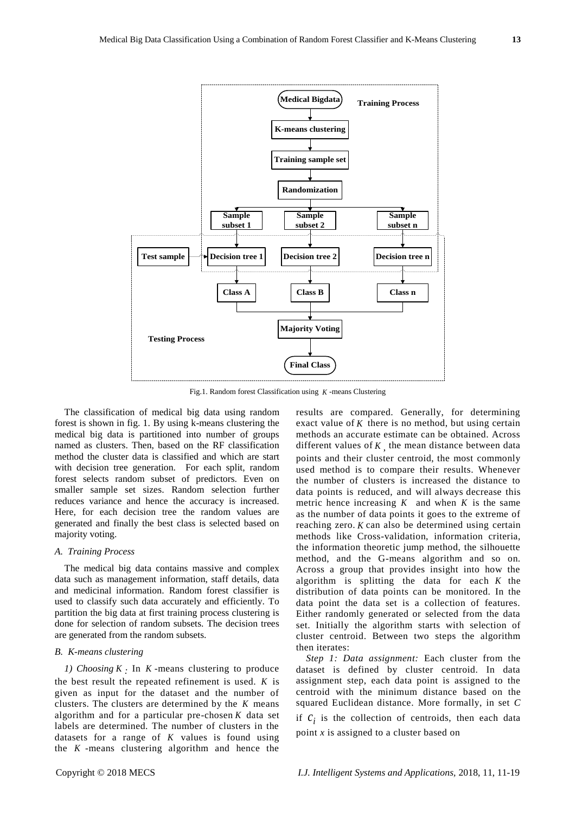

Fig.1. Random forest Classification using *K* -means Clustering

The classification of medical big data using random forest is shown in fig. 1. By using k-means clustering the medical big data is partitioned into number of groups named as clusters. Then, based on the RF classification method the cluster data is classified and which are start with decision tree generation. For each split, random forest selects random subset of predictors. Even on smaller sample set sizes. Random selection further reduces variance and hence the accuracy is increased. Here, for each decision tree the random values are generated and finally the best class is selected based on majority voting.

## *A. Training Process*

The medical big data contains massive and complex data such as management information, staff details, data and medicinal information. Random forest classifier is used to classify such data accurately and efficiently. To partition the big data at first training process clustering is done for selection of random subsets. The decision trees are generated from the random subsets.

## *B. K-means clustering*

*1) Choosing K :* In *K* -means clustering to produce the best result the repeated refinement is used. *K* is given as input for the dataset and the number of clusters. The clusters are determined by the *K* means algorithm and for a particular pre-chosen *K* data set labels are determined. The number of clusters in the datasets for a range of  $K$  values is found using the *K* -means clustering algorithm and hence the results are compared. Generally, for determining exact value of K there is no method, but using certain methods an accurate estimate can be obtained. Across different values of *K* , the mean distance between data points and their cluster centroid, the most commonly used method is to compare their results. Whenever the number of clusters is increased the distance to data points is reduced, and will always decrease this metric hence increasing  $K$  and when  $K$  is the same as the number of data points it goes to the extreme of reaching zero. *K* can also be determined using certain methods like Cross-validation, information criteria, the information theoretic jump method, the silhouette method, and the G-means algorithm and so on. Across a group that provides insight into how the algorithm is splitting the data for each *K* the distribution of data points can be monitored. In the data point the data set is a collection of features. Either randomly generated or selected from the data set. Initially the algorithm starts with selection of cluster centroid. Between two steps the algorithm then iterates:

*Step 1: Data assignment:* Each cluster from the dataset is defined by cluster centroid. In data assignment step, each data point is assigned to the centroid with the minimum distance based on the squared Euclidean distance. More formally, in set *C*  if  $c_i$  is the collection of centroids, then each data point *x* is assigned to a cluster based on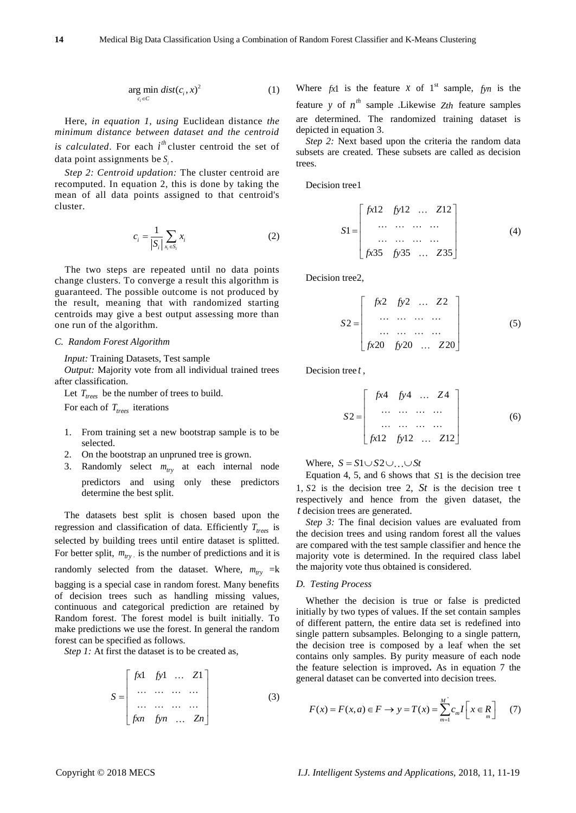$$
\underset{c_i \in C}{\arg \min} \, dist(c_i, x)^2 \tag{1}
$$

Here, *in equation 1, using* Euclidean distance *the minimum distance between dataset and the centroid is calculated*. For each  $i^{th}$  cluster centroid the set of data point assignments be  $S_i$ .

*Step 2: Centroid updation:* The cluster centroid are recomputed. In equation 2, this is done by taking the mean of all data points assigned to that centroid's cluster.

$$
c_i = \frac{1}{|S_i|} \sum_{x_i \in S_i} x_i
$$
 (2)

The two steps are repeated until no data points change clusters. To converge a result this algorithm is guaranteed. The possible outcome is not produced by the result, meaning that with randomized starting centroids may give a best output assessing more than one run of the algorithm.

## *C. Random Forest Algorithm*

*Input:* Training Datasets, Test sample

*Output:* Majority vote from all individual trained trees after classification.

Let  $T_{\text{trees}}$  be the number of trees to build.

For each of *Ttrees* iterations

- 1. From training set a new bootstrap sample is to be selected.
- 2. On the bootstrap an unpruned tree is grown.
- 3. Randomly select  $m_{try}$  at each internal node predictors and using only these predictors determine the best split.

The datasets best split is chosen based upon the regression and classification of data. Efficiently *Ttrees* is selected by building trees until entire dataset is splitted. For better split,  $m_{try}$  is the number of predictions and it is randomly selected from the dataset. Where,  $m_{try}$  =k bagging is a special case in random forest. Many benefits of decision trees such as handling missing values, continuous and categorical prediction are retained by Random forest. The forest model is built initially. To make predictions we use the forest. In general the random forest can be specified as follows.

*Step 1:* At first the dataset is to be created as,

$$
S = \begin{bmatrix} fx1 & fy1 & \dots & Z1 \\ \dots & \dots & \dots & \dots \\ \dots & \dots & \dots & \dots \\ fxn & fyn & \dots & Zn \end{bmatrix}
$$
 (3)

Where  $fx1$  is the feature  $x$  of  $1^{st}$  sample,  $fyn$  is the feature y of  $n^{th}$  sample .Likewise  $Z<sub>th</sub>$  feature samples are determined. The randomized training dataset is depicted in equation 3.

*Step 2:* Next based upon the criteria the random data subsets are created. These subsets are called as decision trees.

Decision tree1

$$
S1 = \begin{bmatrix} fx12 & fy12 & \dots & Z12 \\ \dots & \dots & \dots & \dots \\ \dots & \dots & \dots & \dots \\ fx35 & fy35 & \dots & Z35 \end{bmatrix}
$$
 (4)

Decision tree2,

$$
S2 = \begin{bmatrix} fx2 & fy2 & \dots & Z2 \\ \dots & \dots & \dots & \dots \\ \dots & \dots & \dots & \dots \\ fx20 & fy20 & \dots & Z20 \end{bmatrix}
$$
 (5)

Decision tree *t* ,

$$
S2 = \begin{bmatrix} fx4 & fy4 & \dots & Z4 \\ \dots & \dots & \dots & \dots \\ \dots & \dots & \dots & \dots \\ fx12 & fy12 & \dots & Z12 \end{bmatrix}
$$
 (6)

Where,  $S = S1 \cup S2 \cup ... \cup St$ 

Equation 4, 5, and 6 shows that *S*1 is the decision tree 1,  $S2$  is the decision tree 2,  $St$  is the decision tree t respectively and hence from the given dataset, the *t* decision trees are generated.

*Step 3:* The final decision values are evaluated from the decision trees and using random forest all the values are compared with the test sample classifier and hence the majority vote is determined. In the required class label the majority vote thus obtained is considered.

#### *D. Testing Process*

Whether the decision is true or false is predicted initially by two types of values. If the set contain samples of different pattern, the entire data set is redefined into single pattern subsamples. Belonging to a single pattern, the decision tree is composed by a leaf when the set contains only samples. By purity measure of each node the feature selection is improved**.** As in equation 7 the general dataset can be converted into decision trees.

$$
F(x) = F(x, a) \in F \to y = T(x) = \sum_{m=1}^{M} c_m I \left[ x \in R \right] \tag{7}
$$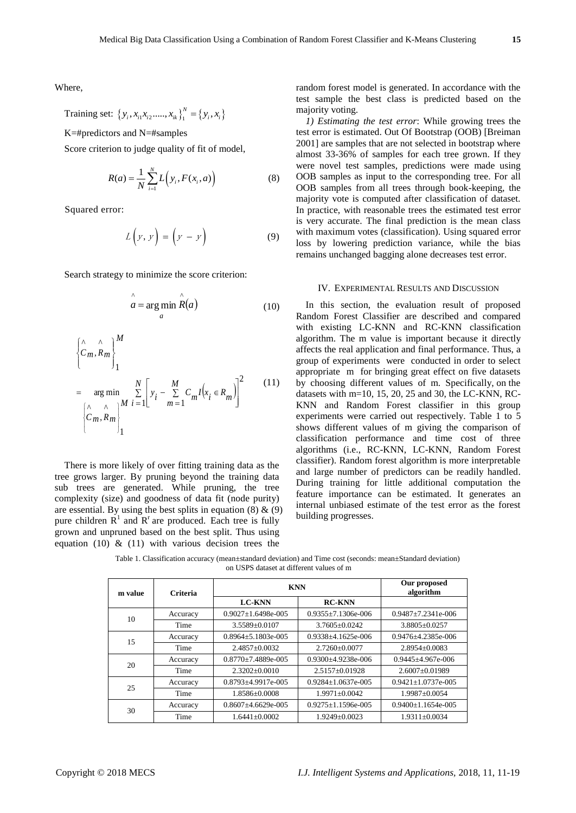Where,

Training set: 
$$
\{y_i, x_{i1}x_{i2},..., x_{ik}\}_1^N = \{y_i, x_i\}
$$

K=#predictors and N=#samples

Score criterion to judge quality of fit of model,

$$
R(a) = \frac{1}{N} \sum_{i=1}^{N} L(y_i, F(x_i, a))
$$
 (8)

Squared error:

$$
L\left(y, y\right) = \left(y - y\right) \tag{9}
$$

Search strategy to minimize the score criterion:

$$
\hat{a} = \underset{a}{\arg\min} \hat{R}(a) \tag{10}
$$

$$
\begin{cases}\n\wedge \wedge \\
\mathcal{C}_m, R_m\n\end{cases}\n\Bigg\}_{1}^M
$$
\n=\n
$$
\arg\min_{\begin{bmatrix}\n\wedge \wedge \\
\mathcal{C}_m, R_m\n\end{bmatrix}}\n\begin{bmatrix}\n\frac{N}{2}\n\end{bmatrix}\n\begin{bmatrix}\ny_i - \sum_{m=1}^M \mathcal{C}_m I(x_i \in R_m)\n\end{bmatrix}^2
$$
\n(11)

There is more likely of over fitting training data as the tree grows larger. By pruning beyond the training data sub trees are generated. While pruning, the tree complexity (size) and goodness of data fit (node purity) are essential. By using the best splits in equation  $(8)$  &  $(9)$ pure children  $\mathbb{R}^1$  and  $\mathbb{R}^r$  are produced. Each tree is fully grown and unpruned based on the best split. Thus using equation (10)  $\&$  (11) with various decision trees the

random forest model is generated. In accordance with the test sample the best class is predicted based on the majority voting.

*1) Estimating the test error*: While growing trees the test error is estimated. Out Of Bootstrap (OOB) [Breiman 2001] are samples that are not selected in bootstrap where almost 33-36% of samples for each tree grown. If they were novel test samples, predictions were made using OOB samples as input to the corresponding tree. For all OOB samples from all trees through book-keeping, the majority vote is computed after classification of dataset. In practice, with reasonable trees the estimated test error is very accurate. The final prediction is the mean class with maximum votes (classification). Using squared error loss by lowering prediction variance, while the bias remains unchanged bagging alone decreases test error.

### IV. EXPERIMENTAL RESULTS AND DISCUSSION

In this section, the evaluation result of proposed Random Forest Classifier are described and compared with existing LC-KNN and RC-KNN classification algorithm. The m value is important because it directly affects the real application and final performance. Thus, a group of experiments were conducted in order to select appropriate m for bringing great effect on five datasets by choosing different values of m. Specifically, on the datasets with m=10, 15, 20, 25 and 30, the LC-KNN, RC-KNN and Random Forest classifier in this group experiments were carried out respectively. Table 1 to 5 shows different values of m giving the comparison of classification performance and time cost of three algorithms (i.e., RC-KNN, LC-KNN, Random Forest classifier). Random forest algorithm is more interpretable and large number of predictors can be readily handled. During training for little additional computation the feature importance can be estimated. It generates an internal unbiased estimate of the test error as the forest building progresses.

Table 1. Classification accuracy (mean ±standard deviation) and Time cost (seconds: mean ±Standard deviation) on USPS dataset at different values of m

| m value | <b>Criteria</b> | <b>KNN</b>               | Our proposed<br>algorithm |                           |
|---------|-----------------|--------------------------|---------------------------|---------------------------|
|         |                 | <b>LC-KNN</b>            | <b>RC-KNN</b>             |                           |
| 10      | Accuracy        | $0.9027 + 1.6498e - 005$ | $0.9355 + 7.1306e - 006$  | $0.9487 + 7.2341e - 006$  |
|         | Time            | 3.5589+0.0107            | $3.7605 + 0.0242$         | $3.8805 + 0.0257$         |
| 15      | Accuracy        | $0.8964 + 5.1803e - 005$ | $0.9338 + 4.1625e - 006$  | $0.9476 + 4.2385e - 006$  |
|         | Time            | $2.4857 + 0.0032$        | $2.7260 + 0.0077$         | $2.8954 + 0.0083$         |
| 20      | Accuracy        | $0.8770 + 7.4889e - 005$ | $0.9300 + 4.9238e - 006$  | $0.9445 + 4.967e - 006$   |
|         | Time            | $2.3202 + 0.0010$        | $2.5157 \pm 0.01928$      | $2.6007 + 0.01989$        |
| 25      | Accuracy        | $0.8793 + 4.9917e - 005$ | $0.9284 + 1.0637e - 005$  | $0.9421 + 1.0737e - 0.05$ |
|         | Time            | $1.8586 + 0.0008$        | $1.9971 + 0.0042$         | 1.9987±0.0054             |
| 30      | Accuracy        | $0.8607 + 4.6629e - 005$ | $0.9275 + 1.1596e - 005$  | $0.9400 + 1.1654e - 005$  |
|         | Time            | $1.6441 + 0.0002$        | $1.9249 + 0.0023$         | $1.9311 + 0.0034$         |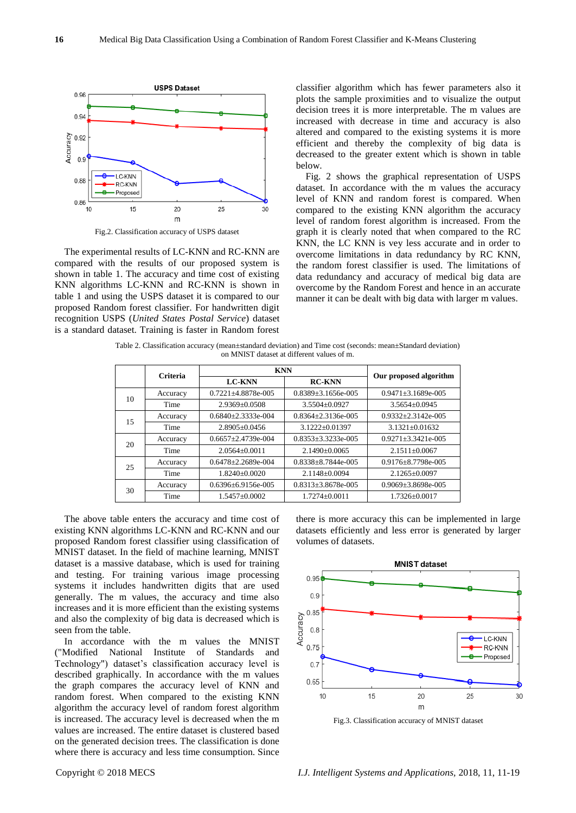

Fig.2. Classification accuracy of USPS dataset

The experimental results of LC-KNN and RC-KNN are compared with the results of our proposed system is shown in table 1. The accuracy and time cost of existing KNN algorithms LC-KNN and RC-KNN is shown in table 1 and using the USPS dataset it is compared to our proposed Random forest classifier. For handwritten digit recognition USPS (*United States Postal Service*) dataset is a standard dataset. Training is faster in Random forest classifier algorithm which has fewer parameters also it plots the sample proximities and to visualize the output decision trees it is more interpretable. The m values are increased with decrease in time and accuracy is also altered and compared to the existing systems it is more efficient and thereby the complexity of big data is decreased to the greater extent which is shown in table below.

Fig. 2 shows the graphical representation of USPS dataset. In accordance with the m values the accuracy level of KNN and random forest is compared. When compared to the existing KNN algorithm the accuracy level of random forest algorithm is increased. From the graph it is clearly noted that when compared to the RC KNN, the LC KNN is vey less accurate and in order to overcome limitations in data redundancy by RC KNN, the random forest classifier is used. The limitations of data redundancy and accuracy of medical big data are overcome by the Random Forest and hence in an accurate manner it can be dealt with big data with larger m values.

Table 2. Classification accuracy (mean ±standard deviation) and Time cost (seconds: mean ±Standard deviation) on MNIST dataset at different values of m.

|    | <b>Criteria</b> | <b>KNN</b>                 |                            |                            |  |
|----|-----------------|----------------------------|----------------------------|----------------------------|--|
|    |                 | <b>LC-KNN</b>              | <b>RC-KNN</b>              | Our proposed algorithm     |  |
| 10 | Accuracy        | 0.7221 ±4.8878e-005        | $0.8389 \pm 3.1656e - 005$ | $0.9471 \pm 3.1689e - 005$ |  |
|    | Time            | $2.9369 + 0.0508$          | 3.5504 ±0.0927             | $3.5654 + 0.0945$          |  |
| 15 | Accuracy        | $0.6840 + 2.3333e - 0.04$  | $0.8364 + 2.3136e - 005$   | $0.9332 + 2.3142e - 005$   |  |
|    | Time            | $2.8905 + 0.0456$          | $3.1222 + 0.01397$         | $3.1321 + 0.01632$         |  |
| 20 | Accuracy        | $0.6657 + 2.4739e - 0.04$  | $0.8353 + 3.3233e - 005$   | $0.9271 \pm 3.3421e - 005$ |  |
|    | Time            | $2.0564 \pm 0.0011$        | $2.1490 + 0.0065$          | $2.1511 + 0.0067$          |  |
| 25 | Accuracy        | $0.6478 \pm 2.2689e - 004$ | $0.8338 + 8.7844e - 005$   | $0.9176 + 8.7798e - 005$   |  |
|    | Time            | $1.8240 \pm 0.0020$        | $2.1148 + 0.0094$          | $2.1265 + 0.0097$          |  |
| 30 | Accuracy        | $0.6396 + 6.9156$ e-005    | $0.8313 \pm 3.8678$ e-005  | $0.9069 \pm 3.8698e - 005$ |  |
|    | Time            | $1.5457 + 0.0002$          | $1.7274 + 0.0011$          | $1.7326 + 0.0017$          |  |

The above table enters the accuracy and time cost of existing KNN algorithms LC-KNN and RC-KNN and our proposed Random forest classifier using classification of MNIST dataset. In the field of machine learning, MNIST dataset is a massive database, which is used for training and testing. For training various image processing systems it includes handwritten digits that are used generally. The m values, the accuracy and time also increases and it is more efficient than the existing systems and also the complexity of big data is decreased which is seen from the table.

In accordance with the m values the MNIST ("Modified National Institute of Standards and Technology") dataset's classification accuracy level is described graphically. In accordance with the m values the graph compares the accuracy level of KNN and random forest. When compared to the existing KNN algorithm the accuracy level of random forest algorithm is increased. The accuracy level is decreased when the m values are increased. The entire dataset is clustered based on the generated decision trees. The classification is done where there is accuracy and less time consumption. Since





Fig.3. Classification accuracy of MNIST dataset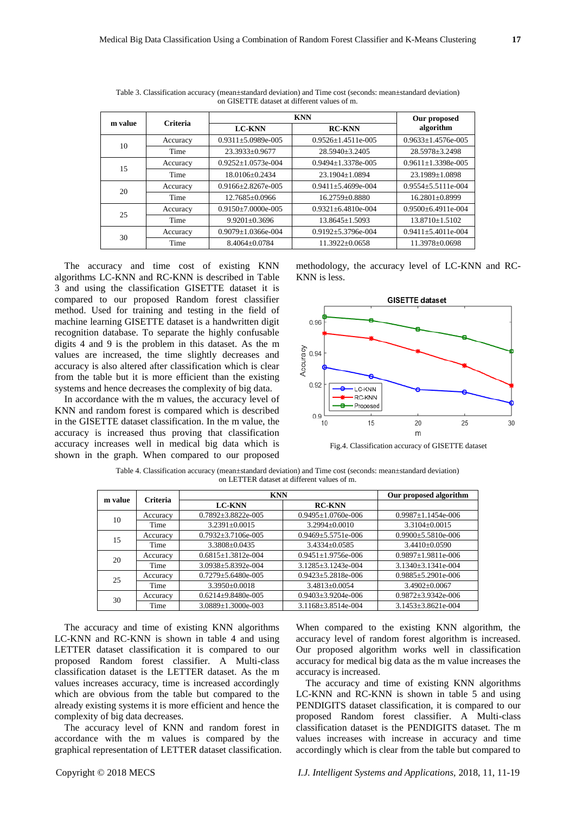| m value | Criteria |                            | Our proposed               |                            |
|---------|----------|----------------------------|----------------------------|----------------------------|
|         |          | <b>LC-KNN</b>              | <b>RC-KNN</b>              | algorithm                  |
| 10      | Accuracy | $0.9311 \pm 5.0989e - 005$ | $0.9526 + 1.4511e - 005$   | $0.9633 \pm 1.4576e - 005$ |
|         | Time     | $23.3933 + 0.9677$         | $28.5940 + 3.2405$         | 28.5978 ± 3.2498           |
| 15      | Accuracy | $0.9252 \pm 1.0573e - 004$ | $0.9494 \pm 1.3378$ e-005  | $0.9611 \pm 1.3398$ e-005  |
|         | Time     | 18.0106+0.2434             | $23.1904 + 1.0894$         | $23.1989 \pm 1.0898$       |
| 20      | Accuracy | $0.9166 + 2.8267e - 005$   | $0.9411 + 5.4699e - 004$   | $0.9554 + 5.5111e - 004$   |
|         | Time     | 12.7685 ±0.0966            | 16.2759±0.8880             | 16.2801 ±0.8999            |
| 25      | Accuracy | $0.9150 \pm 7.0000e - 005$ | $0.9321 \pm 6.4810e - 004$ | $0.9500 + 6.4911e - 004$   |
|         | Time     | $9.9201 + 0.3696$          | $13.8645 \pm 1.5093$       | $13.8710 \pm 1.5102$       |
| 30      | Accuracy | $0.9079 \pm 1.0366e - 004$ | $0.9192 + 5.3796e - 004$   | $0.9411 \pm 5.4011e - 004$ |
|         | Time     | $8.4064 + 0.0784$          | $11.3922 + 0.0658$         | 11.3978±0.0698             |

Table 3. Classification accuracy (mean±standard deviation) and Time cost (seconds: mean±standard deviation) on GISETTE dataset at different values of m.

The accuracy and time cost of existing KNN algorithms LC-KNN and RC-KNN is described in Table 3 and using the classification GISETTE dataset it is compared to our proposed Random forest classifier method. Used for training and testing in the field of machine learning GISETTE dataset is a handwritten digit recognition database. To separate the highly confusable digits 4 and 9 is the problem in this dataset. As the m values are increased, the time slightly decreases and accuracy is also altered after classification which is clear from the table but it is more efficient than the existing systems and hence decreases the complexity of big data.

In accordance with the m values, the accuracy level of KNN and random forest is compared which is described in the GISETTE dataset classification. In the m value, the accuracy is increased thus proving that classification accuracy increases well in medical big data which is shown in the graph. When compared to our proposed methodology, the accuracy level of LC-KNN and RC-KNN is less.



Fig.4. Classification accuracy of GISETTE dataset

Table 4. Classification accuracy (mean±standard deviation) and Time cost (seconds: mean±standard deviation) on LETTER dataset at different values of m.

| m value | Criteria | <b>KNN</b>                 | Our proposed algorithm     |                            |
|---------|----------|----------------------------|----------------------------|----------------------------|
|         |          | <b>LC-KNN</b>              | <b>RC-KNN</b>              |                            |
| 10      | Accuracy | $0.7892 \pm 3.8822e - 005$ | $0.9495 \pm 1.0760$ e-006  | $0.9987 \pm 1.1454e - 006$ |
|         | Time     | $3.2391 + 0.0015$          | $3.2994 \pm 0.0010$        | $3.3104 + 0.0015$          |
| 15      | Accuracy | $0.7932 \pm 3.7106$ e-005  | $0.9469 \pm 5.5751e - 006$ | $0.9900 \pm 5.5810e - 006$ |
|         | Time     | $3.3808 + 0.0435$          | $3.4334 + 0.0585$          | $3.4410 + 0.0590$          |
| 20      | Accuracy | $0.6815 \pm 1.3812e - 004$ | $0.9451 \pm 1.9756$ e-006  | $0.9897 \pm 1.9811e - 006$ |
|         | Time     | $3.0938 \pm 5.8392e - 004$ | $3.1285 \pm 3.1243e - 004$ | $3.1340 \pm 3.1341e - 004$ |
| 25      | Accuracy | $0.7279 \pm 5.6480e - 005$ | $0.9423 \pm 5.2818$ e-006  | $0.9885 \pm 5.2901e - 006$ |
|         | Time     | $3.3950 + 0.0018$          | $3.4813 + 0.0054$          | $3.4902 \pm 0.0067$        |
| 30      | Accuracy | $0.6214 + 9.8480e - 005$   | $0.9403 \pm 3.9204e - 006$ | $0.9872 \pm 3.9342e - 006$ |
|         | Time     | $3.0889 \pm 1.3000e - 003$ | $3.1168 \pm 3.8514e - 004$ | $3.1453 \pm 3.8621e - 004$ |

The accuracy and time of existing KNN algorithms LC-KNN and RC-KNN is shown in table 4 and using LETTER dataset classification it is compared to our proposed Random forest classifier. A Multi-class classification dataset is the LETTER dataset. As the m values increases accuracy, time is increased accordingly which are obvious from the table but compared to the already existing systems it is more efficient and hence the complexity of big data decreases.

The accuracy level of KNN and random forest in accordance with the m values is compared by the graphical representation of LETTER dataset classification.

When compared to the existing KNN algorithm, the accuracy level of random forest algorithm is increased. Our proposed algorithm works well in classification accuracy for medical big data as the m value increases the accuracy is increased.

The accuracy and time of existing KNN algorithms LC-KNN and RC-KNN is shown in table 5 and using PENDIGITS dataset classification, it is compared to our proposed Random forest classifier. A Multi-class classification dataset is the PENDIGITS dataset. The m values increases with increase in accuracy and time accordingly which is clear from the table but compared to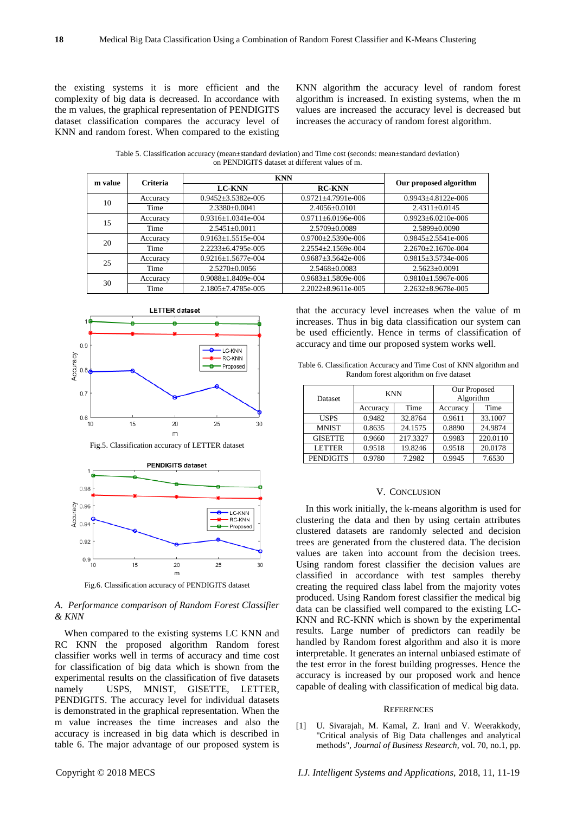the existing systems it is more efficient and the complexity of big data is decreased. In accordance with the m values, the graphical representation of PENDIGITS dataset classification compares the accuracy level of KNN and random forest. When compared to the existing

KNN algorithm the accuracy level of random forest algorithm is increased. In existing systems, when the m values are increased the accuracy level is decreased but increases the accuracy of random forest algorithm.

Table 5. Classification accuracy (mean±standard deviation) and Time cost (seconds: mean±standard deviation) on PENDIGITS dataset at different values of m.

| m value | Criteria | <b>KNN</b>                 |                            |                            |  |
|---------|----------|----------------------------|----------------------------|----------------------------|--|
|         |          | <b>LC-KNN</b>              | <b>RC-KNN</b>              | Our proposed algorithm     |  |
| 10      | Accuracy | $0.9452 \pm 3.5382e - 005$ | $0.9721 + 4.7991e-006$     | $0.9943 \pm 4.8122e - 006$ |  |
|         | Time     | $2.3380 + 0.0041$          | $2.4056 \pm 0.0101$        | $2.4311 + 0.0145$          |  |
| 15      | Accuracy | $0.9316 \pm 1.0341e - 004$ | $0.9711 \pm 6.0196e - 006$ | $0.9923 \pm 6.0210e - 006$ |  |
|         | Time     | $2.5451 \pm 0.0011$        | 2.5709 ±0.0089             | $2.5899 + 0.0090$          |  |
| 20      | Accuracy | $0.9163 \pm 1.5515e - 004$ | $0.9700 \pm 2.5390e - 006$ | $0.9845 \pm 2.5541e - 006$ |  |
|         | Time     | $2.2233 \pm 6.4795e - 005$ | $2.2554 \pm 2.1569e - 004$ | $2.2670 \pm 2.1670e - 004$ |  |
| 25      | Accuracy | $0.9216 \pm 1.5677e - 004$ | $0.9687 \pm 3.5642e - 006$ | $0.9815 \pm 3.5734e - 006$ |  |
|         | Time     | $2.5270 + 0.0056$          | $2.5468 + 0.0083$          | $2.5623 \pm 0.0091$        |  |
| 30      | Accuracy | $0.9088 \pm 1.8409e - 004$ | $0.9683 \pm 1.5809e - 006$ | $0.9810 \pm 1.5967e - 006$ |  |
|         | Time     | $2.1805 \pm 7.4785e - 005$ | $2.2022 \pm 8.9611e - 005$ | $2.2632 \pm 8.9678$ e-005  |  |







Fig.6. Classification accuracy of PENDIGITS dataset

## *A. Performance comparison of Random Forest Classifier & KNN*

When compared to the existing systems LC KNN and RC KNN the proposed algorithm Random forest classifier works well in terms of accuracy and time cost for classification of big data which is shown from the experimental results on the classification of five datasets namely USPS, MNIST, GISETTE, LETTER, PENDIGITS. The accuracy level for individual datasets is demonstrated in the graphical representation. When the m value increases the time increases and also the accuracy is increased in big data which is described in table 6. The major advantage of our proposed system is that the accuracy level increases when the value of m increases. Thus in big data classification our system can be used efficiently. Hence in terms of classification of accuracy and time our proposed system works well.

Table 6. Classification Accuracy and Time Cost of KNN algorithm and Random forest algorithm on five dataset

| <b>Dataset</b>   | <b>KNN</b> |          | Our Proposed<br>Algorithm |          |
|------------------|------------|----------|---------------------------|----------|
|                  | Accuracy   | Time     | Accuracy                  | Time     |
| <b>USPS</b>      | 0.9482     | 32.8764  | 0.9611                    | 33.1007  |
| <b>MNIST</b>     | 0.8635     | 24.1575  | 0.8890                    | 24.9874  |
| <b>GISETTE</b>   | 0.9660     | 217.3327 | 0.9983                    | 220.0110 |
| <b>LETTER</b>    | 0.9518     | 19.8246  | 0.9518                    | 20.0178  |
| <b>PENDIGITS</b> | 0.9780     | 7.2982   | 0.9945                    | 7.6530   |

## V. CONCLUSION

In this work initially, the k-means algorithm is used for clustering the data and then by using certain attributes clustered datasets are randomly selected and decision trees are generated from the clustered data. The decision values are taken into account from the decision trees. Using random forest classifier the decision values are classified in accordance with test samples thereby creating the required class label from the majority votes produced. Using Random forest classifier the medical big data can be classified well compared to the existing LC-KNN and RC-KNN which is shown by the experimental results. Large number of predictors can readily be handled by Random forest algorithm and also it is more interpretable. It generates an internal unbiased estimate of the test error in the forest building progresses. Hence the accuracy is increased by our proposed work and hence capable of dealing with classification of medical big data.

#### **REFERENCES**

[1] U. Sivarajah, M. Kamal, Z. Irani and V. Weerakkody, "Critical analysis of Big Data challenges and analytical methods", *Journal of Business Research*, vol. 70, no.1, pp.